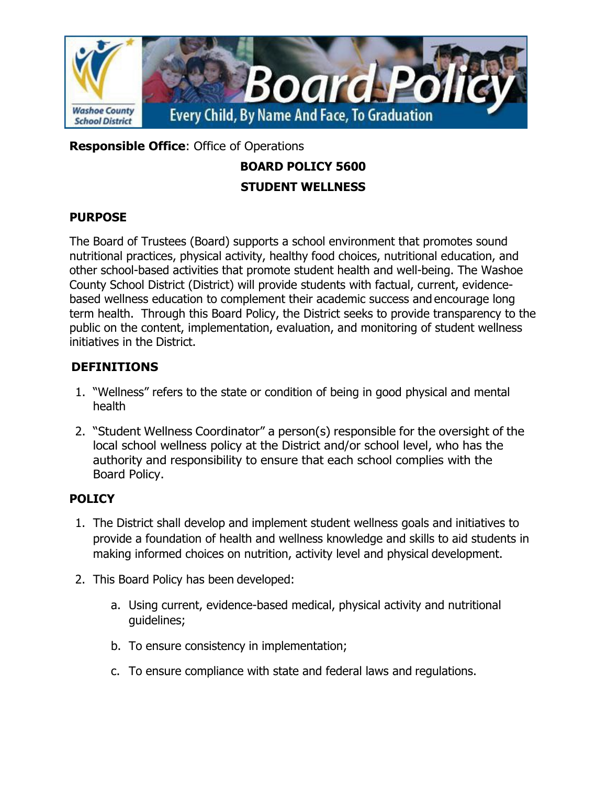

**Responsible Office**: Office of Operations

# **BOARD POLICY 5600 STUDENT WELLNESS**

#### **PURPOSE**

The Board of Trustees (Board) supports a school environment that promotes sound nutritional practices, physical activity, healthy food choices, nutritional education, and other school-based activities that promote student health and well-being. The Washoe County School District (District) will provide students with factual, current, evidencebased wellness education to complement their academic success and encourage long term health. Through this Board Policy, the District seeks to provide transparency to the public on the content, implementation, evaluation, and monitoring of student wellness initiatives in the District.

### **DEFINITIONS**

- 1. "Wellness" refers to the state or condition of being in good physical and mental health
- 2. "Student Wellness Coordinator" a person(s) responsible for the oversight of the local school wellness policy at the District and/or school level, who has the authority and responsibility to ensure that each school complies with the Board Policy.

### **POLICY**

- 1. The District shall develop and implement student wellness goals and initiatives to provide a foundation of health and wellness knowledge and skills to aid students in making informed choices on nutrition, activity level and physical development.
- 2. This Board Policy has been developed:
	- a. Using current, evidence-based medical, physical activity and nutritional guidelines;
	- b. To ensure consistency in implementation;
	- c. To ensure compliance with state and federal laws and regulations.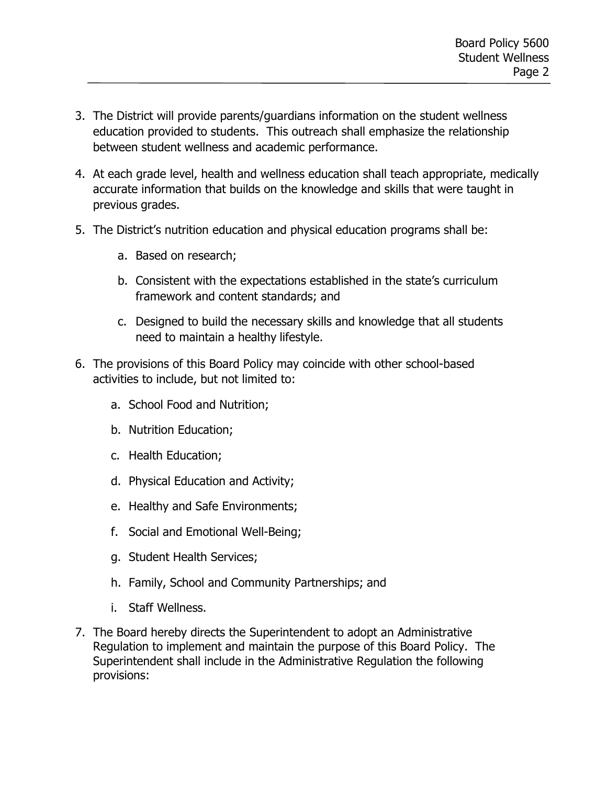- 3. The District will provide parents/guardians information on the student wellness education provided to students. This outreach shall emphasize the relationship between student wellness and academic performance.
- 4. At each grade level, health and wellness education shall teach appropriate, medically accurate information that builds on the knowledge and skills that were taught in previous grades.
- 5. The District's nutrition education and physical education programs shall be:
	- a. Based on research;
	- b. Consistent with the expectations established in the state's curriculum framework and content standards; and
	- c. Designed to build the necessary skills and knowledge that all students need to maintain a healthy lifestyle.
- 6. The provisions of this Board Policy may coincide with other school-based activities to include, but not limited to:
	- a. School Food and Nutrition;
	- b. Nutrition Education;
	- c. Health Education;
	- d. Physical Education and Activity;
	- e. Healthy and Safe Environments;
	- f. Social and Emotional Well-Being;
	- g. Student Health Services;
	- h. Family, School and Community Partnerships; and
	- i. Staff Wellness.
- 7. The Board hereby directs the Superintendent to adopt an Administrative Regulation to implement and maintain the purpose of this Board Policy. The Superintendent shall include in the Administrative Regulation the following provisions: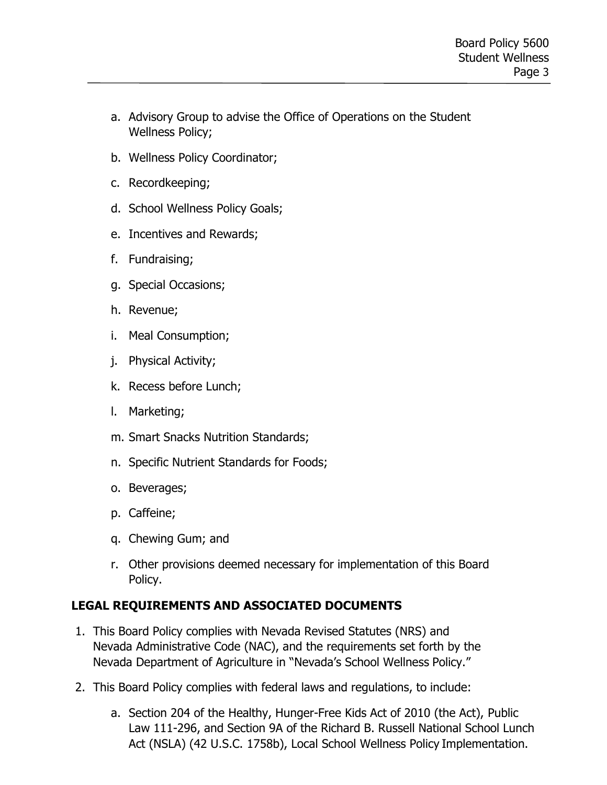- a. Advisory Group to advise the Office of Operations on the Student Wellness Policy;
- b. Wellness Policy Coordinator;
- c. Recordkeeping;
- d. School Wellness Policy Goals;
- e. Incentives and Rewards;
- f. Fundraising;
- g. Special Occasions;
- h. Revenue;
- i. Meal Consumption;
- j. Physical Activity;
- k. Recess before Lunch;
- l. Marketing;
- m. Smart Snacks Nutrition Standards;
- n. Specific Nutrient Standards for Foods;
- o. Beverages;
- p. Caffeine;
- q. Chewing Gum; and
- r. Other provisions deemed necessary for implementation of this Board Policy.

### **LEGAL REQUIREMENTS AND ASSOCIATED DOCUMENTS**

- 1. This Board Policy complies with Nevada Revised Statutes (NRS) and Nevada Administrative Code (NAC), and the requirements set forth by the Nevada Department of Agriculture in "Nevada's School Wellness Policy."
- 2. This Board Policy complies with federal laws and regulations, to include:
	- a. Section 204 of the Healthy, Hunger-Free Kids Act of 2010 (the Act), Public Law 111-296, and Section 9A of the Richard B. Russell National School Lunch Act (NSLA) (42 U.S.C. 1758b), Local School Wellness Policy Implementation.